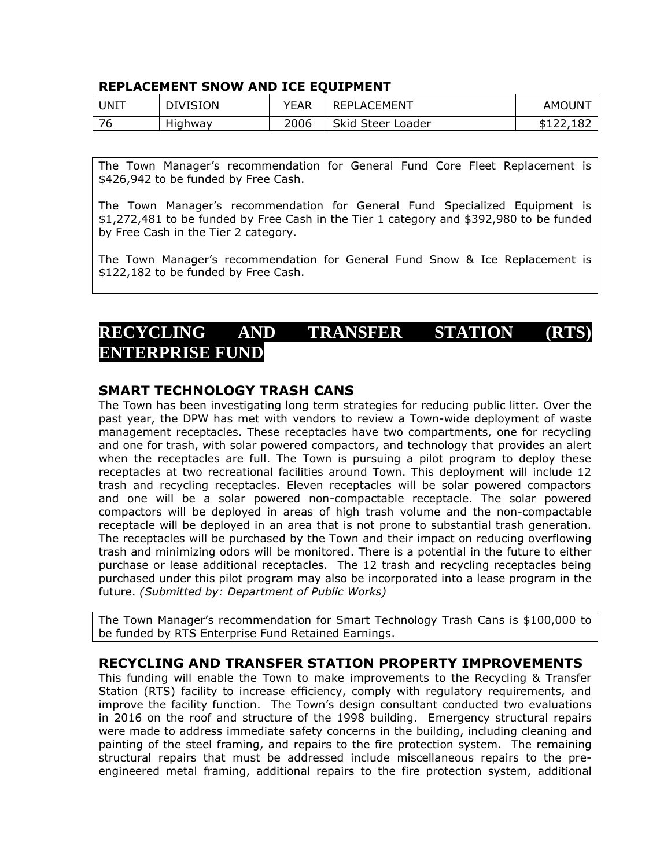#### **REPLACEMENT SNOW AND ICE EQUIPMENT**

| UNIT                     | <b>DIVISION</b> | YEAR | <b>REPLACEMENT</b> | AMOUNT         |
|--------------------------|-----------------|------|--------------------|----------------|
| $\overline{\phantom{a}}$ | Highway         | 2006 | Skid Steer Loader  | 182<br>D L L L |

The Town Manager's recommendation for General Fund Core Fleet Replacement is \$426,942 to be funded by Free Cash.

The Town Manager's recommendation for General Fund Specialized Equipment is \$1,272,481 to be funded by Free Cash in the Tier 1 category and \$392,980 to be funded by Free Cash in the Tier 2 category.

The Town Manager's recommendation for General Fund Snow & Ice Replacement is \$122,182 to be funded by Free Cash.

# **RECYCLING AND TRANSFER STATION (RTS) ENTERPRISE FUND**

### **SMART TECHNOLOGY TRASH CANS**

The Town has been investigating long term strategies for reducing public litter. Over the past year, the DPW has met with vendors to review a Town-wide deployment of waste management receptacles. These receptacles have two compartments, one for recycling and one for trash, with solar powered compactors, and technology that provides an alert when the receptacles are full. The Town is pursuing a pilot program to deploy these receptacles at two recreational facilities around Town. This deployment will include 12 trash and recycling receptacles. Eleven receptacles will be solar powered compactors and one will be a solar powered non-compactable receptacle. The solar powered compactors will be deployed in areas of high trash volume and the non-compactable receptacle will be deployed in an area that is not prone to substantial trash generation. The receptacles will be purchased by the Town and their impact on reducing overflowing trash and minimizing odors will be monitored. There is a potential in the future to either purchase or lease additional receptacles. The 12 trash and recycling receptacles being purchased under this pilot program may also be incorporated into a lease program in the future. *(Submitted by: Department of Public Works)* 

The Town Manager's recommendation for Smart Technology Trash Cans is \$100,000 to be funded by RTS Enterprise Fund Retained Earnings.

### **RECYCLING AND TRANSFER STATION PROPERTY IMPROVEMENTS**

This funding will enable the Town to make improvements to the Recycling & Transfer Station (RTS) facility to increase efficiency, comply with regulatory requirements, and improve the facility function. The Town's design consultant conducted two evaluations in 2016 on the roof and structure of the 1998 building. Emergency structural repairs were made to address immediate safety concerns in the building, including cleaning and painting of the steel framing, and repairs to the fire protection system. The remaining structural repairs that must be addressed include miscellaneous repairs to the preengineered metal framing, additional repairs to the fire protection system, additional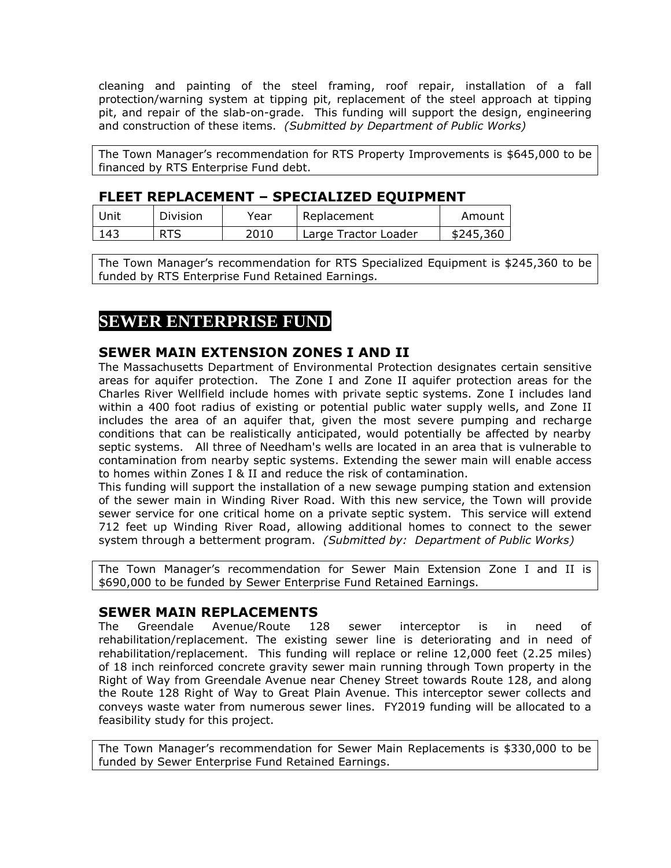cleaning and painting of the steel framing, roof repair, installation of a fall protection/warning system at tipping pit, replacement of the steel approach at tipping pit, and repair of the slab-on-grade. This funding will support the design, engineering and construction of these items. *(Submitted by Department of Public Works)*

The Town Manager's recommendation for RTS Property Improvements is \$645,000 to be financed by RTS Enterprise Fund debt.

#### **FLEET REPLACEMENT – SPECIALIZED EQUIPMENT**

| Unit | Division | Year | Replacement          | Amount    |
|------|----------|------|----------------------|-----------|
| 143  |          | 2010 | Large Tractor Loader | \$245,360 |

The Town Manager's recommendation for RTS Specialized Equipment is \$245,360 to be funded by RTS Enterprise Fund Retained Earnings.

# **SEWER ENTERPRISE FUND**

### **SEWER MAIN EXTENSION ZONES I AND II**

The Massachusetts Department of Environmental Protection designates certain sensitive areas for aquifer protection. The Zone I and Zone II aquifer protection areas for the Charles River Wellfield include homes with private septic systems. Zone I includes land within a 400 foot radius of existing or potential public water supply wells, and Zone II includes the area of an aquifer that, given the most severe pumping and recharge conditions that can be realistically anticipated, would potentially be affected by nearby septic systems. All three of Needham's wells are located in an area that is vulnerable to contamination from nearby septic systems. Extending the sewer main will enable access to homes within Zones I & II and reduce the risk of contamination.

This funding will support the installation of a new sewage pumping station and extension of the sewer main in Winding River Road. With this new service, the Town will provide sewer service for one critical home on a private septic system. This service will extend 712 feet up Winding River Road, allowing additional homes to connect to the sewer system through a betterment program. *(Submitted by: Department of Public Works)* 

The Town Manager's recommendation for Sewer Main Extension Zone I and II is \$690,000 to be funded by Sewer Enterprise Fund Retained Earnings.

#### **SEWER MAIN REPLACEMENTS**

The Greendale Avenue/Route 128 sewer interceptor is in need of rehabilitation/replacement. The existing sewer line is deteriorating and in need of rehabilitation/replacement. This funding will replace or reline 12,000 feet (2.25 miles) of 18 inch reinforced concrete gravity sewer main running through Town property in the Right of Way from Greendale Avenue near Cheney Street towards Route 128, and along the Route 128 Right of Way to Great Plain Avenue. This interceptor sewer collects and conveys waste water from numerous sewer lines. FY2019 funding will be allocated to a feasibility study for this project.

The Town Manager's recommendation for Sewer Main Replacements is \$330,000 to be funded by Sewer Enterprise Fund Retained Earnings.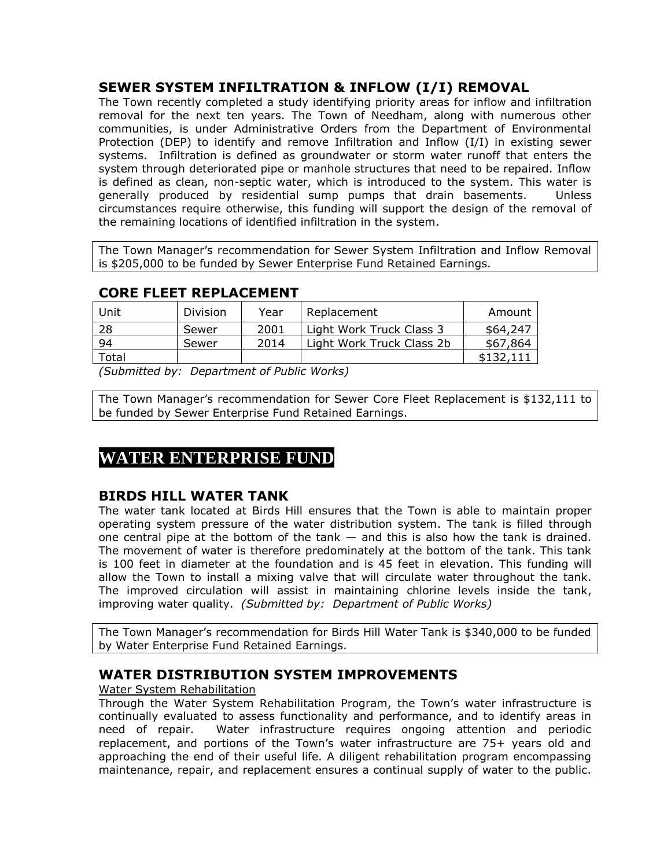## **SEWER SYSTEM INFILTRATION & INFLOW (I/I) REMOVAL**

The Town recently completed a study identifying priority areas for inflow and infiltration removal for the next ten years. The Town of Needham, along with numerous other communities, is under Administrative Orders from the Department of Environmental Protection (DEP) to identify and remove Infiltration and Inflow (I/I) in existing sewer systems. Infiltration is defined as groundwater or storm water runoff that enters the system through deteriorated pipe or manhole structures that need to be repaired. Inflow is defined as clean, non-septic water, which is introduced to the system. This water is generally produced by residential sump pumps that drain basements. Unless circumstances require otherwise, this funding will support the design of the removal of the remaining locations of identified infiltration in the system.

The Town Manager's recommendation for Sewer System Infiltration and Inflow Removal is \$205,000 to be funded by Sewer Enterprise Fund Retained Earnings.

| CONLILLEI NEFEACEMENT |          |      |                           |           |  |
|-----------------------|----------|------|---------------------------|-----------|--|
| <b>Unit</b>           | Division | Year | Replacement               | Amount    |  |
| 28                    | Sewer    | 2001 | Light Work Truck Class 3  | \$64,247  |  |
| 94                    | Sewer    | 2014 | Light Work Truck Class 2b | \$67,864  |  |
| Total                 |          |      |                           | \$132,111 |  |

## **CORE FLEET REPLACEMENT**

*(Submitted by: Department of Public Works)* 

The Town Manager's recommendation for Sewer Core Fleet Replacement is \$132,111 to be funded by Sewer Enterprise Fund Retained Earnings.

# **WATER ENTERPRISE FUND**

### **BIRDS HILL WATER TANK**

The water tank located at Birds Hill ensures that the Town is able to maintain proper operating system pressure of the water distribution system. The tank is filled through one central pipe at the bottom of the tank  $-$  and this is also how the tank is drained. The movement of water is therefore predominately at the bottom of the tank. This tank is 100 feet in diameter at the foundation and is 45 feet in elevation. This funding will allow the Town to install a mixing valve that will circulate water throughout the tank. The improved circulation will assist in maintaining chlorine levels inside the tank, improving water quality. *(Submitted by: Department of Public Works)*

The Town Manager's recommendation for Birds Hill Water Tank is \$340,000 to be funded by Water Enterprise Fund Retained Earnings.

### **WATER DISTRIBUTION SYSTEM IMPROVEMENTS**

#### Water System Rehabilitation

Through the Water System Rehabilitation Program, the Town's water infrastructure is continually evaluated to assess functionality and performance, and to identify areas in need of repair. Water infrastructure requires ongoing attention and periodic replacement, and portions of the Town's water infrastructure are 75+ years old and approaching the end of their useful life. A diligent rehabilitation program encompassing maintenance, repair, and replacement ensures a continual supply of water to the public.